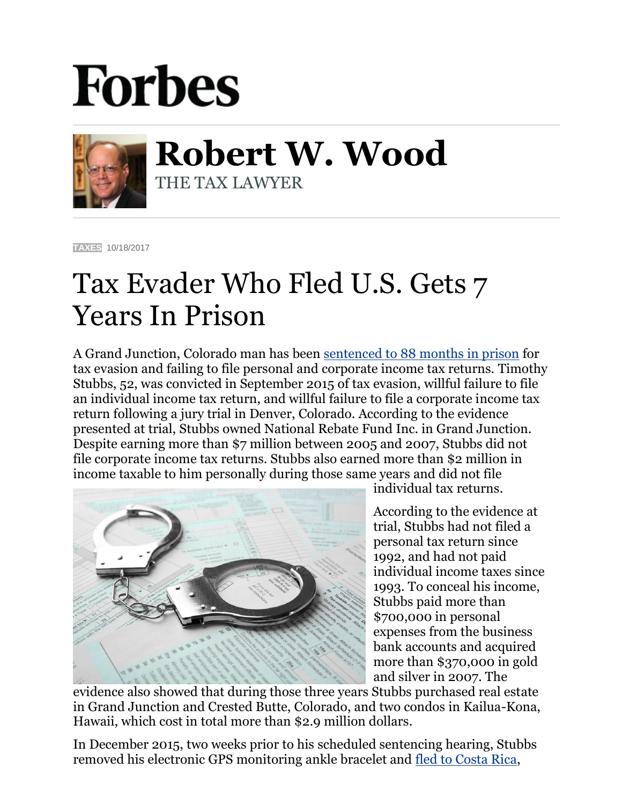## **Forbes**



**Robert W. Wood** THE TAX LAWYER

**[TAXES](https://www.forbes.com/taxes)** 10/18/2017

## Tax Evader Who Fled U.S. Gets 7 Years In Prison

A Grand Junction, Colorado man has been [sentenced to 88 months](https://www.justice.gov/opa/pr/colorado-man-who-fled-costa-rica-after-trial-sentenced-more-7-years-prison-tax-crimes) in prison for tax evasion and failing to file personal and corporate income tax returns. Timothy Stubbs, 52, was convicted in September 2015 of tax evasion, willful failure to file an individual income tax return, and willful failure to file a corporate income tax return following a jury trial in Denver, Colorado. According to the evidence presented at trial, Stubbs owned National Rebate Fund Inc. in Grand Junction. Despite earning more than \$7 million between 2005 and 2007, Stubbs did not file corporate income tax returns. Stubbs also earned more than \$2 million in income taxable to him personally during those same years and did not file



individual tax returns.

According to the evidence at trial, Stubbs had not filed a personal tax return since 1992, and had not paid individual income taxes since 1993. To conceal his income, Stubbs paid more than \$700,000 in personal expenses from the business bank accounts and acquired more than \$370,000 in gold and silver in 2007. The

evidence also showed that during those three years Stubbs purchased real estate in Grand Junction and Crested Butte, Colorado, and two condos in Kailua-Kona, Hawaii, which cost in total more than \$2.9 million dollars.

In December 2015, two weeks prior to his scheduled sentencing hearing, Stubbs removed his electronic GPS monitoring ankle bracelet and [fled to Costa Rica,](http://www.denverpost.com/2016/01/05/2-million-tax-evader-skips-sentence-federal-warrant-issued/)